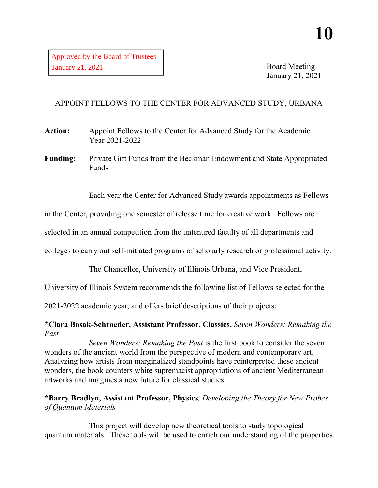Board Meeting January 21, 2021

# APPOINT FELLOWS TO THE CENTER FOR ADVANCED STUDY, URBANA

**Action:** Appoint Fellows to the Center for Advanced Study for the Academic Year 2021-2022

**Funding:** Private Gift Funds from the Beckman Endowment and State Appropriated Funds

Each year the Center for Advanced Study awards appointments as Fellows

in the Center, providing one semester of release time for creative work. Fellows are

selected in an annual competition from the untenured faculty of all departments and

colleges to carry out self-initiated programs of scholarly research or professional activity.

The Chancellor, University of Illinois Urbana, and Vice President,

University of Illinois System recommends the following list of Fellows selected for the

2021-2022 academic year, and offers brief descriptions of their projects:

**\*Clara Bosak-Schroeder, Assistant Professor, Classics,** *Seven Wonders: Remaking the Past*

*Seven Wonders: Remaking the Past* is the first book to consider the seven wonders of the ancient world from the perspective of modern and contemporary art. Analyzing how artists from marginalized standpoints have reinterpreted these ancient wonders, the book counters white supremacist appropriations of ancient Mediterranean artworks and imagines a new future for classical studies.

# **\*Barry Bradlyn, Assistant Professor, Physics***, Developing the Theory for New Probes of Quantum Materials*

This project will develop new theoretical tools to study topological quantum materials. These tools will be used to enrich our understanding of the properties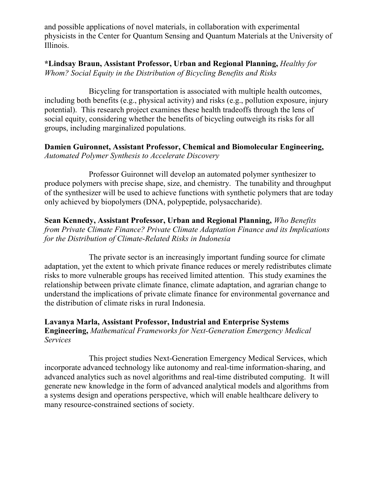and possible applications of novel materials, in collaboration with experimental physicists in the Center for Quantum Sensing and Quantum Materials at the University of Illinois.

**\*Lindsay Braun, Assistant Professor, Urban and Regional Planning,** *Healthy for Whom? Social Equity in the Distribution of Bicycling Benefits and Risks*

Bicycling for transportation is associated with multiple health outcomes, including both benefits (e.g., physical activity) and risks (e.g., pollution exposure, injury potential). This research project examines these health tradeoffs through the lens of social equity, considering whether the benefits of bicycling outweigh its risks for all groups, including marginalized populations.

**Damien Guironnet, Assistant Professor, Chemical and Biomolecular Engineering,** *Automated Polymer Synthesis to Accelerate Discovery*

Professor Guironnet will develop an automated polymer synthesizer to produce polymers with precise shape, size, and chemistry. The tunability and throughput of the synthesizer will be used to achieve functions with synthetic polymers that are today only achieved by biopolymers (DNA, polypeptide, polysaccharide).

**Sean Kennedy, Assistant Professor, Urban and Regional Planning,** *Who Benefits from Private Climate Finance? Private Climate Adaptation Finance and its Implications for the Distribution of Climate-Related Risks in Indonesia*

The private sector is an increasingly important funding source for climate adaptation, yet the extent to which private finance reduces or merely redistributes climate risks to more vulnerable groups has received limited attention. This study examines the relationship between private climate finance, climate adaptation, and agrarian change to understand the implications of private climate finance for environmental governance and the distribution of climate risks in rural Indonesia.

**Lavanya Marla, Assistant Professor, Industrial and Enterprise Systems Engineering,** *Mathematical Frameworks for Next-Generation Emergency Medical Services*

This project studies Next-Generation Emergency Medical Services, which incorporate advanced technology like autonomy and real-time information-sharing, and advanced analytics such as novel algorithms and real-time distributed computing. It will generate new knowledge in the form of advanced analytical models and algorithms from a systems design and operations perspective, which will enable healthcare delivery to many resource-constrained sections of society.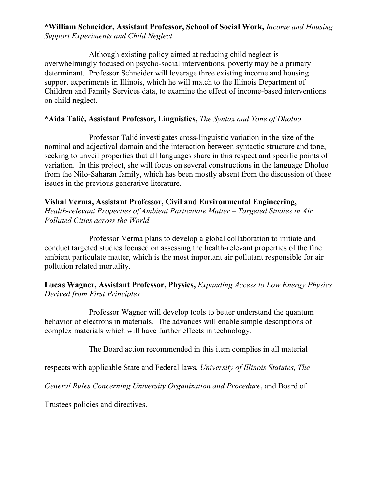# **\*William Schneider, Assistant Professor, School of Social Work,** *Income and Housing Support Experiments and Child Neglect*

Although existing policy aimed at reducing child neglect is overwhelmingly focused on psycho-social interventions, poverty may be a primary determinant. Professor Schneider will leverage three existing income and housing support experiments in Illinois, which he will match to the Illinois Department of Children and Family Services data, to examine the effect of income-based interventions on child neglect.

#### **\*Aida Talić, Assistant Professor, Linguistics,** *The Syntax and Tone of Dholuo*

Professor Talić investigates cross-linguistic variation in the size of the nominal and adjectival domain and the interaction between syntactic structure and tone, seeking to unveil properties that all languages share in this respect and specific points of variation. In this project, she will focus on several constructions in the language Dholuo from the Nilo-Saharan family, which has been mostly absent from the discussion of these issues in the previous generative literature.

# **Vishal Verma, Assistant Professor, Civil and Environmental Engineering,**

*Health-relevant Properties of Ambient Particulate Matter – Targeted Studies in Air Polluted Cities across the World*

Professor Verma plans to develop a global collaboration to initiate and conduct targeted studies focused on assessing the health-relevant properties of the fine ambient particulate matter, which is the most important air pollutant responsible for air pollution related mortality.

# **Lucas Wagner, Assistant Professor, Physics,** *Expanding Access to Low Energy Physics Derived from First Principles*

Professor Wagner will develop tools to better understand the quantum behavior of electrons in materials. The advances will enable simple descriptions of complex materials which will have further effects in technology.

The Board action recommended in this item complies in all material

respects with applicable State and Federal laws, *University of Illinois Statutes, The* 

*General Rules Concerning University Organization and Procedure*, and Board of

Trustees policies and directives.